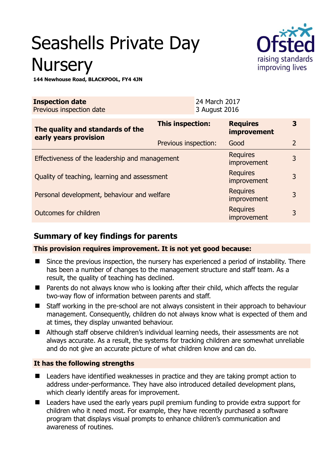# Seashells Private Day **Nursery**



**144 Newhouse Road, BLACKPOOL, FY4 4JN** 

| <b>Inspection date</b><br>Previous inspection date        | 24 March 2017<br>3 August 2016 |                                       |                |
|-----------------------------------------------------------|--------------------------------|---------------------------------------|----------------|
| The quality and standards of the<br>early years provision | This inspection:               | <b>Requires</b><br><b>improvement</b> | 3              |
|                                                           | Previous inspection:           | Good                                  | $\overline{2}$ |
| Effectiveness of the leadership and management            |                                | <b>Requires</b><br>improvement        | 3              |
| Quality of teaching, learning and assessment              |                                | <b>Requires</b><br>improvement        | 3              |
| Personal development, behaviour and welfare               |                                | <b>Requires</b><br>improvement        | 3              |
| Outcomes for children                                     |                                | <b>Requires</b><br>improvement        | 3              |

## **Summary of key findings for parents**

**This provision requires improvement. It is not yet good because:** 

- Since the previous inspection, the nursery has experienced a period of instability. There has been a number of changes to the management structure and staff team. As a result, the quality of teaching has declined.
- Parents do not always know who is looking after their child, which affects the regular two-way flow of information between parents and staff.
- Staff working in the pre-school are not always consistent in their approach to behaviour management. Consequently, children do not always know what is expected of them and at times, they display unwanted behaviour.
- Although staff observe children's individual learning needs, their assessments are not always accurate. As a result, the systems for tracking children are somewhat unreliable and do not give an accurate picture of what children know and can do.

## **It has the following strengths**

- Leaders have identified weaknesses in practice and they are taking prompt action to address under-performance. They have also introduced detailed development plans, which clearly identify areas for improvement.
- Leaders have used the early years pupil premium funding to provide extra support for children who it need most. For example, they have recently purchased a software program that displays visual prompts to enhance children's communication and awareness of routines.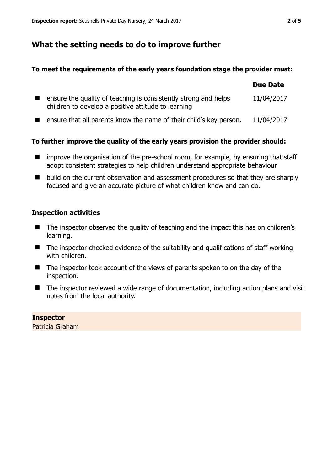## **What the setting needs to do to improve further**

#### **To meet the requirements of the early years foundation stage the provider must:**

|                                                                                                                        | <b>Due Date</b> |
|------------------------------------------------------------------------------------------------------------------------|-----------------|
| ensure the quality of teaching is consistently strong and helps<br>children to develop a positive attitude to learning | 11/04/2017      |
| ensure that all parents know the name of their child's key person.                                                     | 11/04/2017      |

## **To further improve the quality of the early years provision the provider should:**

- improve the organisation of the pre-school room, for example, by ensuring that staff adopt consistent strategies to help children understand appropriate behaviour
- build on the current observation and assessment procedures so that they are sharply focused and give an accurate picture of what children know and can do.

## **Inspection activities**

- The inspector observed the quality of teaching and the impact this has on children's learning.
- $\blacksquare$  The inspector checked evidence of the suitability and qualifications of staff working with children.
- The inspector took account of the views of parents spoken to on the day of the inspection.
- The inspector reviewed a wide range of documentation, including action plans and visit notes from the local authority.

**Inspector**  Patricia Graham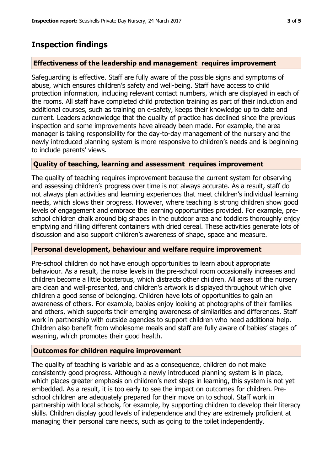## **Inspection findings**

### **Effectiveness of the leadership and management requires improvement**

Safeguarding is effective. Staff are fully aware of the possible signs and symptoms of abuse, which ensures children's safety and well-being. Staff have access to child protection information, including relevant contact numbers, which are displayed in each of the rooms. All staff have completed child protection training as part of their induction and additional courses, such as training on e-safety, keeps their knowledge up to date and current. Leaders acknowledge that the quality of practice has declined since the previous inspection and some improvements have already been made. For example, the area manager is taking responsibility for the day-to-day management of the nursery and the newly introduced planning system is more responsive to children's needs and is beginning to include parents' views.

## **Quality of teaching, learning and assessment requires improvement**

The quality of teaching requires improvement because the current system for observing and assessing children's progress over time is not always accurate. As a result, staff do not always plan activities and learning experiences that meet children's individual learning needs, which slows their progress. However, where teaching is strong children show good levels of engagement and embrace the learning opportunities provided. For example, preschool children chalk around big shapes in the outdoor area and toddlers thoroughly enjoy emptying and filling different containers with dried cereal. These activities generate lots of discussion and also support children's awareness of shape, space and measure.

#### **Personal development, behaviour and welfare require improvement**

Pre-school children do not have enough opportunities to learn about appropriate behaviour. As a result, the noise levels in the pre-school room occasionally increases and children become a little boisterous, which distracts other children. All areas of the nursery are clean and well-presented, and children's artwork is displayed throughout which give children a good sense of belonging. Children have lots of opportunities to gain an awareness of others. For example, babies enjoy looking at photographs of their families and others, which supports their emerging awareness of similarities and differences. Staff work in partnership with outside agencies to support children who need additional help. Children also benefit from wholesome meals and staff are fully aware of babies' stages of weaning, which promotes their good health.

#### **Outcomes for children require improvement**

The quality of teaching is variable and as a consequence, children do not make consistently good progress. Although a newly introduced planning system is in place, which places greater emphasis on children's next steps in learning, this system is not yet embedded. As a result, it is too early to see the impact on outcomes for children. Preschool children are adequately prepared for their move on to school. Staff work in partnership with local schools, for example, by supporting children to develop their literacy skills. Children display good levels of independence and they are extremely proficient at managing their personal care needs, such as going to the toilet independently.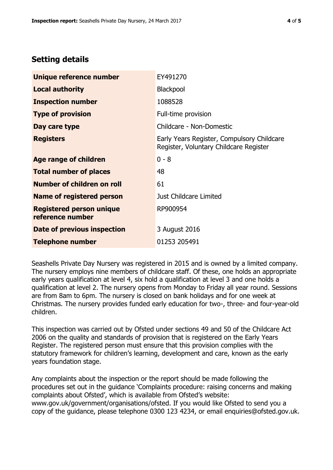# **Setting details**

| Unique reference number                             | EY491270                                                                             |
|-----------------------------------------------------|--------------------------------------------------------------------------------------|
| <b>Local authority</b>                              | Blackpool                                                                            |
| <b>Inspection number</b>                            | 1088528                                                                              |
| <b>Type of provision</b>                            | Full-time provision                                                                  |
| Day care type                                       | Childcare - Non-Domestic                                                             |
| <b>Registers</b>                                    | Early Years Register, Compulsory Childcare<br>Register, Voluntary Childcare Register |
| Age range of children                               | $0 - 8$                                                                              |
| <b>Total number of places</b>                       | 48                                                                                   |
| Number of children on roll                          | 61                                                                                   |
| Name of registered person                           | Just Childcare Limited                                                               |
| <b>Registered person unique</b><br>reference number | RP900954                                                                             |
| Date of previous inspection                         | 3 August 2016                                                                        |
| <b>Telephone number</b>                             | 01253 205491                                                                         |

Seashells Private Day Nursery was registered in 2015 and is owned by a limited company. The nursery employs nine members of childcare staff. Of these, one holds an appropriate early years qualification at level 4, six hold a qualification at level 3 and one holds a qualification at level 2. The nursery opens from Monday to Friday all year round. Sessions are from 8am to 6pm. The nursery is closed on bank holidays and for one week at Christmas. The nursery provides funded early education for two-, three- and four-year-old children.

This inspection was carried out by Ofsted under sections 49 and 50 of the Childcare Act 2006 on the quality and standards of provision that is registered on the Early Years Register. The registered person must ensure that this provision complies with the statutory framework for children's learning, development and care, known as the early years foundation stage.

Any complaints about the inspection or the report should be made following the procedures set out in the guidance 'Complaints procedure: raising concerns and making complaints about Ofsted', which is available from Ofsted's website: www.gov.uk/government/organisations/ofsted. If you would like Ofsted to send you a copy of the guidance, please telephone 0300 123 4234, or email enquiries@ofsted.gov.uk.